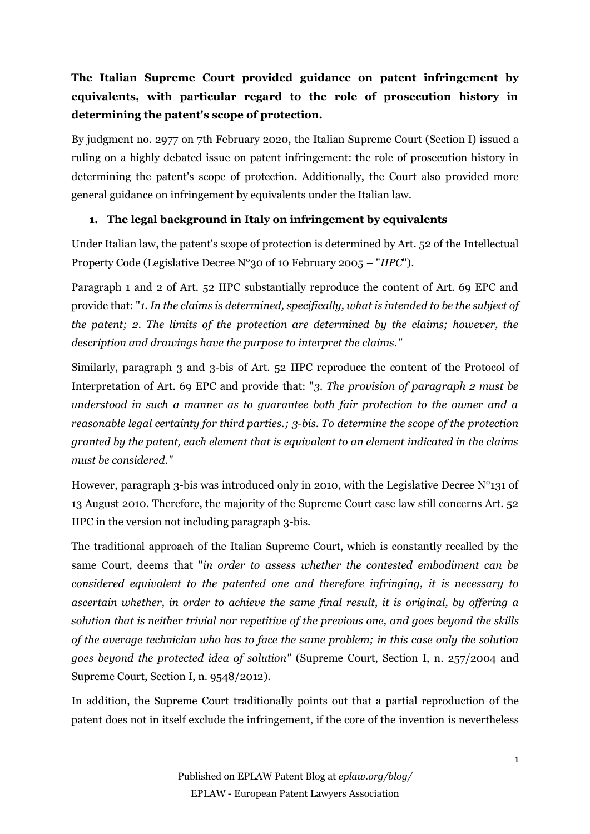# **The Italian Supreme Court provided guidance on patent infringement by equivalents, with particular regard to the role of prosecution history in determining the patent's scope of protection.**

By judgment no. 2977 on 7th February 2020, the Italian Supreme Court (Section I) issued a ruling on a highly debated issue on patent infringement: the role of prosecution history in determining the patent's scope of protection. Additionally, the Court also provided more general guidance on infringement by equivalents under the Italian law.

## **1. The legal background in Italy on infringement by equivalents**

Under Italian law, the patent's scope of protection is determined by Art. 52 of the Intellectual Property Code (Legislative Decree N°30 of 10 February 2005 – "*IIPC*").

Paragraph 1 and 2 of Art. 52 IIPC substantially reproduce the content of Art. 69 EPC and provide that: "*1. In the claims is determined, specifically, what is intended to be the subject of the patent; 2. The limits of the protection are determined by the claims; however, the description and drawings have the purpose to interpret the claims."*

Similarly, paragraph 3 and 3-bis of Art. 52 IIPC reproduce the content of the Protocol of Interpretation of Art. 69 EPC and provide that: "*3. The provision of paragraph 2 must be understood in such a manner as to guarantee both fair protection to the owner and a reasonable legal certainty for third parties.; 3-bis. To determine the scope of the protection granted by the patent, each element that is equivalent to an element indicated in the claims must be considered."*

However, paragraph 3-bis was introduced only in 2010, with the Legislative Decree N°131 of 13 August 2010. Therefore, the majority of the Supreme Court case law still concerns Art. 52 IIPC in the version not including paragraph 3-bis.

The traditional approach of the Italian Supreme Court, which is constantly recalled by the same Court, deems that "*in order to assess whether the contested embodiment can be considered equivalent to the patented one and therefore infringing, it is necessary to ascertain whether, in order to achieve the same final result, it is original, by offering a solution that is neither trivial nor repetitive of the previous one, and goes beyond the skills of the average technician who has to face the same problem; in this case only the solution goes beyond the protected idea of solution"* (Supreme Court, Section I, n. 257/2004 and Supreme Court, Section I, n. 9548/2012)*.*

In addition, the Supreme Court traditionally points out that a partial reproduction of the patent does not in itself exclude the infringement, if the core of the invention is nevertheless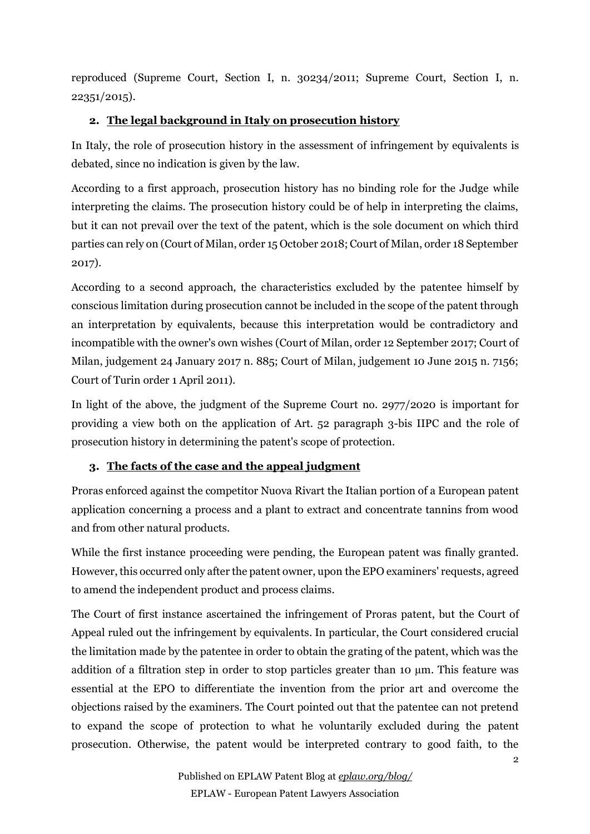reproduced (Supreme Court, Section I, n. 30234/2011; Supreme Court, Section I, n. 22351/2015).

## **2. The legal background in Italy on prosecution history**

In Italy, the role of prosecution history in the assessment of infringement by equivalents is debated, since no indication is given by the law.

According to a first approach, prosecution history has no binding role for the Judge while interpreting the claims. The prosecution history could be of help in interpreting the claims, but it can not prevail over the text of the patent, which is the sole document on which third parties can rely on (Court of Milan, order 15 October 2018; Court of Milan, order 18 September 2017).

According to a second approach, the characteristics excluded by the patentee himself by conscious limitation during prosecution cannot be included in the scope of the patent through an interpretation by equivalents, because this interpretation would be contradictory and incompatible with the owner's own wishes (Court of Milan, order 12 September 2017; Court of Milan, judgement 24 January 2017 n. 885; Court of Milan, judgement 10 June 2015 n. 7156; Court of Turin order 1 April 2011).

In light of the above, the judgment of the Supreme Court no. 2977/2020 is important for providing a view both on the application of Art. 52 paragraph 3-bis IIPC and the role of prosecution history in determining the patent's scope of protection.

# **3. The facts of the case and the appeal judgment**

Proras enforced against the competitor Nuova Rivart the Italian portion of a European patent application concerning a process and a plant to extract and concentrate tannins from wood and from other natural products.

While the first instance proceeding were pending, the European patent was finally granted. However, this occurred only after the patent owner, upon the EPO examiners' requests, agreed to amend the independent product and process claims.

The Court of first instance ascertained the infringement of Proras patent, but the Court of Appeal ruled out the infringement by equivalents. In particular, the Court considered crucial the limitation made by the patentee in order to obtain the grating of the patent, which was the addition of a filtration step in order to stop particles greater than 10 µm. This feature was essential at the EPO to differentiate the invention from the prior art and overcome the objections raised by the examiners. The Court pointed out that the patentee can not pretend to expand the scope of protection to what he voluntarily excluded during the patent prosecution. Otherwise, the patent would be interpreted contrary to good faith, to the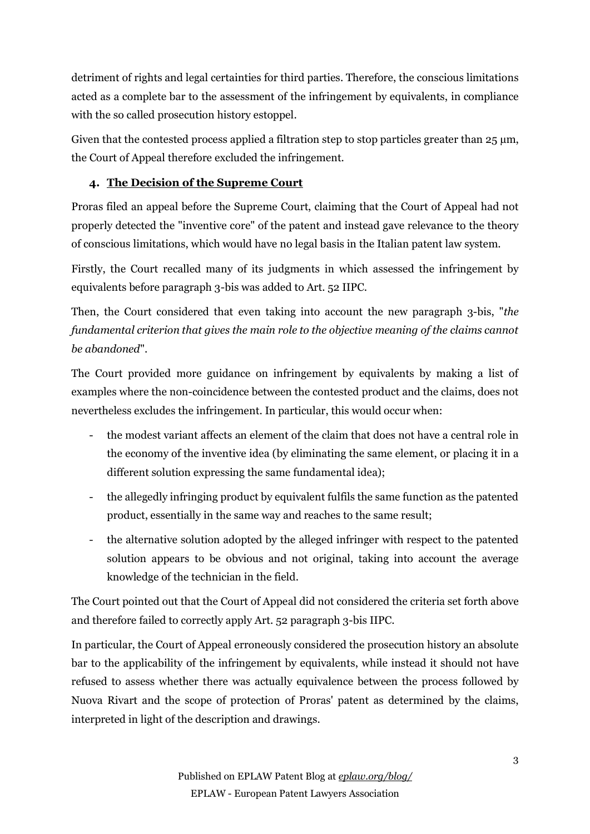detriment of rights and legal certainties for third parties. Therefore, the conscious limitations acted as a complete bar to the assessment of the infringement by equivalents, in compliance with the so called prosecution history estoppel.

Given that the contested process applied a filtration step to stop particles greater than  $25 \mu m$ , the Court of Appeal therefore excluded the infringement.

# **4. The Decision of the Supreme Court**

Proras filed an appeal before the Supreme Court, claiming that the Court of Appeal had not properly detected the "inventive core" of the patent and instead gave relevance to the theory of conscious limitations, which would have no legal basis in the Italian patent law system.

Firstly, the Court recalled many of its judgments in which assessed the infringement by equivalents before paragraph 3-bis was added to Art. 52 IIPC.

Then, the Court considered that even taking into account the new paragraph 3-bis, "*the fundamental criterion that gives the main role to the objective meaning of the claims cannot be abandoned*".

The Court provided more guidance on infringement by equivalents by making a list of examples where the non-coincidence between the contested product and the claims, does not nevertheless excludes the infringement. In particular, this would occur when:

- the modest variant affects an element of the claim that does not have a central role in the economy of the inventive idea (by eliminating the same element, or placing it in a different solution expressing the same fundamental idea);
- the allegedly infringing product by equivalent fulfils the same function as the patented product, essentially in the same way and reaches to the same result;
- the alternative solution adopted by the alleged infringer with respect to the patented solution appears to be obvious and not original, taking into account the average knowledge of the technician in the field.

The Court pointed out that the Court of Appeal did not considered the criteria set forth above and therefore failed to correctly apply Art. 52 paragraph 3-bis IIPC.

In particular, the Court of Appeal erroneously considered the prosecution history an absolute bar to the applicability of the infringement by equivalents, while instead it should not have refused to assess whether there was actually equivalence between the process followed by Nuova Rivart and the scope of protection of Proras' patent as determined by the claims, interpreted in light of the description and drawings.